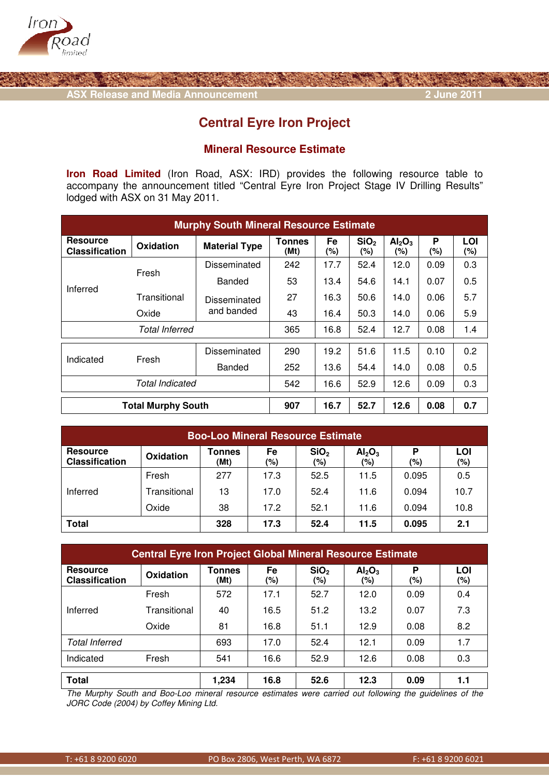



## **Central Eyre Iron Project**

## **Mineral Resource Estimate**

**Iron Road Limited** (Iron Road, ASX: IRD) provides the following resource table to accompany the announcement titled "Central Eyre Iron Project Stage IV Drilling Results" lodged with ASX on 31 May 2011.

| <b>Murphy South Mineral Resource Estimate</b> |              |                      |                       |           |                         |                                       |          |            |
|-----------------------------------------------|--------------|----------------------|-----------------------|-----------|-------------------------|---------------------------------------|----------|------------|
| <b>Resource</b><br><b>Classification</b>      | Oxidation    | <b>Material Type</b> | <b>Tonnes</b><br>(Mt) | Fe<br>(%) | SiO <sub>2</sub><br>(%) | Al <sub>2</sub> O <sub>3</sub><br>(%) | P<br>(%) | LOI<br>(%) |
| Inferred                                      | Fresh        | Disseminated         | 242                   | 17.7      | 52.4                    | 12.0                                  | 0.09     | 0.3        |
|                                               |              | Banded               | 53                    | 13.4      | 54.6                    | 14.1                                  | 0.07     | 0.5        |
|                                               | Transitional | Disseminated         | 27                    | 16.3      | 50.6                    | 14.0                                  | 0.06     | 5.7        |
|                                               | Oxide        | and banded           | 43                    | 16.4      | 50.3                    | 14.0                                  | 0.06     | 5.9        |
| <b>Total Inferred</b>                         |              |                      | 365                   | 16.8      | 52.4                    | 12.7                                  | 0.08     | 1.4        |
| Indicated                                     | Fresh        | Disseminated         | 290                   | 19.2      | 51.6                    | 11.5                                  | 0.10     | 0.2        |
|                                               |              | Banded               | 252                   | 13.6      | 54.4                    | 14.0                                  | 0.08     | 0.5        |
| <b>Total Indicated</b>                        |              |                      | 542                   | 16.6      | 52.9                    | 12.6                                  | 0.09     | 0.3        |
| <b>Total Murphy South</b>                     |              |                      | 907                   | 16.7      | 52.7                    | 12.6                                  | 0.08     | 0.7        |

| <b>Boo-Loo Mineral Resource Estimate</b> |              |                       |           |                         |                                       |          |            |
|------------------------------------------|--------------|-----------------------|-----------|-------------------------|---------------------------------------|----------|------------|
| <b>Resource</b><br><b>Classification</b> | Oxidation    | <b>Tonnes</b><br>(Mt) | Fe<br>(%) | SiO <sub>2</sub><br>(%) | Al <sub>2</sub> O <sub>3</sub><br>(%) | P<br>(%) | LOI<br>(%) |
| Inferred                                 | Fresh        | 277                   | 17.3      | 52.5                    | 11.5                                  | 0.095    | 0.5        |
|                                          | Transitional | 13                    | 17.0      | 52.4                    | 11.6                                  | 0.094    | 10.7       |
|                                          | Oxide        | 38                    | 17.2      | 52.1                    | 11.6                                  | 0.094    | 10.8       |
| Total                                    |              | 328                   | 17.3      | 52.4                    | 11.5                                  | 0.095    | 2.1        |

| <b>Central Eyre Iron Project Global Mineral Resource Estimate</b> |              |                       |              |                         |                                       |          |            |  |
|-------------------------------------------------------------------|--------------|-----------------------|--------------|-------------------------|---------------------------------------|----------|------------|--|
| <b>Resource</b><br><b>Classification</b>                          | Oxidation    | <b>Tonnes</b><br>(Mt) | Fe<br>$(\%)$ | SiO <sub>2</sub><br>(%) | Al <sub>2</sub> O <sub>3</sub><br>(%) | P<br>(%) | LOI<br>(%) |  |
| Inferred                                                          | Fresh        | 572                   | 17.1         | 52.7                    | 12.0                                  | 0.09     | 0.4        |  |
|                                                                   | Transitional | 40                    | 16.5         | 51.2                    | 13.2                                  | 0.07     | 7.3        |  |
|                                                                   | Oxide        | 81                    | 16.8         | 51.1                    | 12.9                                  | 0.08     | 8.2        |  |
| <b>Total Inferred</b>                                             |              | 693                   | 17.0         | 52.4                    | 12.1                                  | 0.09     | 1.7        |  |
| Indicated                                                         | Fresh        | 541                   | 16.6         | 52.9                    | 12.6                                  | 0.08     | 0.3        |  |
| <b>Total</b>                                                      |              | 1,234                 | 16.8         | 52.6                    | 12.3                                  | 0.09     | 1.1        |  |

The Murphy South and Boo-Loo mineral resource estimates were carried out following the guidelines of the JORC Code (2004) by Coffey Mining Ltd.